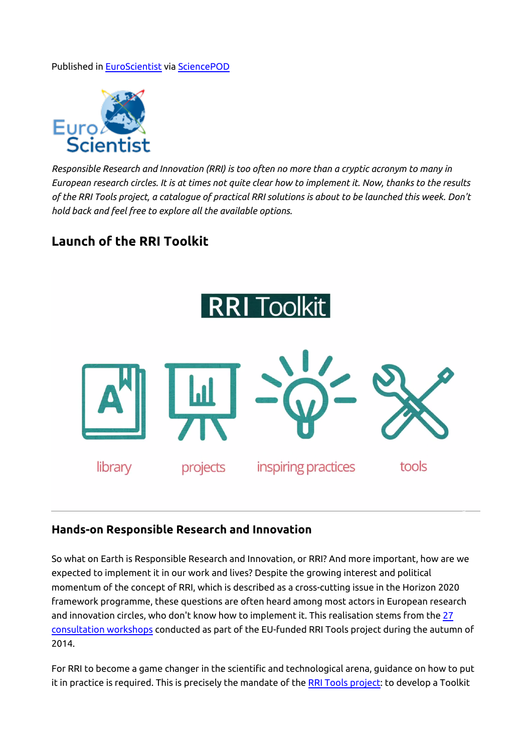#### Published in [EuroScientist](http://www.euroscientist.com/launch-of-the-rri-toolkit/) via [SciencePOD](http://www.sciencepod.net)



*Responsible Research and Innovation (RRI) is too often no more than a cryptic acronym to many in European research circles. It is at times not quite clear how to implement it. Now, thanks to the results of the RRI Tools project, a catalogue of practical RRI solutions is about to be launched this week. Don't hold back and feel free to explore all the available options.*

## **Launch of the RRI Toolkit**



#### **Hands-on Responsible Research and Innovation**

So what on Earth is Responsible Research and Innovation, or RRI? And more important, how are we expected to implement it in our work and lives? Despite the growing interest and political momentum of the concept of RRI, which is described as a cross-cutting issue in the Horizon 2020 framework programme, these questions are often heard among most actors in European research and innovation circles, who don't know how to implement it. This realisation stems from the [27](http://www.rri-tools.eu/documents/10182/18424/RRITools_D2.2-AnalysisNeeds+ConstraintsStakeholderGroupsRRI.pdf/d5aadef5-12c4-4045-a813-15a55fc534ff) [consultation workshops](http://www.rri-tools.eu/documents/10182/18424/RRITools_D2.2-AnalysisNeeds+ConstraintsStakeholderGroupsRRI.pdf/d5aadef5-12c4-4045-a813-15a55fc534ff) conducted as part of the EU-funded RRI Tools project during the autumn of 2014.

For RRI to become a game changer in the scientific and technological arena, guidance on how to put it in practice is required. This is precisely the mandate of the [RRI Tools project:](http://www.rri-tools.eu/project-description) to develop a Toolkit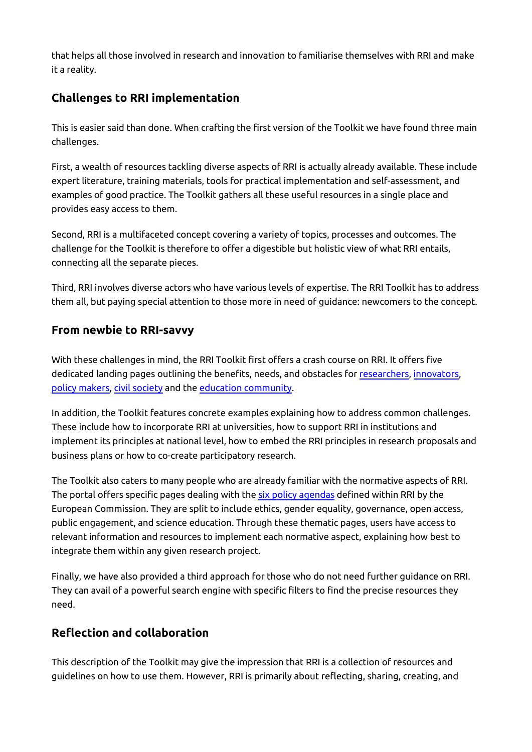that helps all those involved in research and innovation to familiarise themselves with RRI and make it a reality.

## **Challenges to RRI implementation**

This is easier said than done. When crafting the first version of the Toolkit we have found three main challenges.

First, a wealth of resources tackling diverse aspects of RRI is actually already available. These include expert literature, training materials, tools for practical implementation and self-assessment, and examples of good practice. The Toolkit gathers all these useful resources in a single place and provides easy access to them.

Second, RRI is a multifaceted concept covering a variety of topics, processes and outcomes. The challenge for the Toolkit is therefore to offer a digestible but holistic view of what RRI entails, connecting all the separate pieces.

Third, RRI involves diverse actors who have various levels of expertise. The RRI Toolkit has to address them all, but paying special attention to those more in need of guidance: newcomers to the concept.

### **From newbie to RRI-savvy**

With these challenges in mind, the RRI Toolkit first offers a crash course on RRI. It offers five dedicated landing pages outlining the benefits, needs, and obstacles for [researchers,](http://www.rri-tools.eu/rri-for-researchers) [innovators,](http://www.rri-tools.eu/rri-for-business) [policy makers,](http://www.rri-tools.eu/rri-for-policy-making-area) [civil society](http://www.rri-tools.eu/rri-for-civil-society) and the [education community.](http://www.rri-tools.eu/rri-for-education-community)

In addition, the Toolkit features concrete examples explaining how to address common challenges. These include how to incorporate RRI at universities, how to support RRI in institutions and implement its principles at national level, how to embed the RRI principles in research proposals and business plans or how to co-create participatory research.

The Toolkit also caters to many people who are already familiar with the normative aspects of RRI. The portal offers specific pages dealing with the [six policy agendas](http://ec.europa.eu/programmes/horizon2020/en/h2020-section/responsible-research-innovation) defined within RRI by the European Commission. They are split to include ethics, gender equality, governance, open access, public engagement, and science education. Through these thematic pages, users have access to relevant information and resources to implement each normative aspect, explaining how best to integrate them within any given research project.

Finally, we have also provided a third approach for those who do not need further guidance on RRI. They can avail of a powerful search engine with specific filters to find the precise resources they need.

# **Reflection and collaboration**

This description of the Toolkit may give the impression that RRI is a collection of resources and guidelines on how to use them. However, RRI is primarily about reflecting, sharing, creating, and